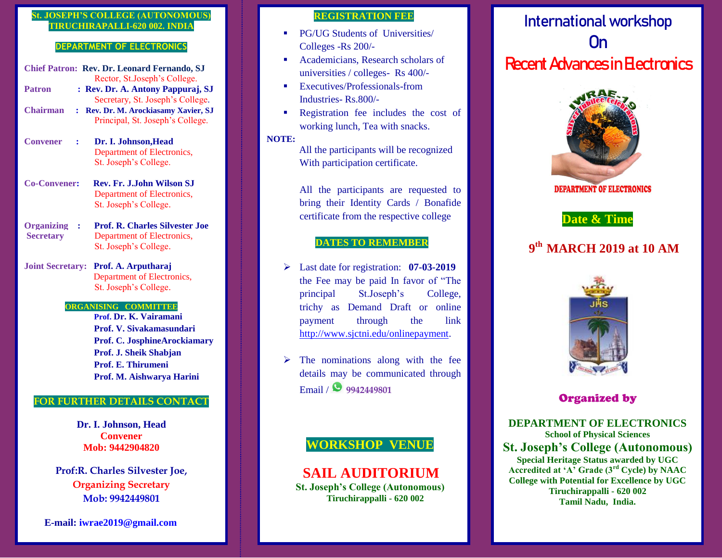## **St. JOSEPH'S COLLEGE (AUTONOMOUS) TIRUCHIRAPALLI-620 002. INDIA**

#### **DEPARTMENT OF ELECTRONICS**

**Chief Patron: Rev. Dr. Leonard Fernando, SJ** Rector, St.Joseph's College. **Patron : Rev. Dr. A. Antony Pappuraj, SJ** Secretary, St. Joseph's College. **Chairman : Rev. Dr. M. Arockiasamy Xavier, SJ**  Principal, St. Joseph's College. **Convener : Dr. I. Johnson,Head** Department of Electronics, St. Joseph's College. **Co-Convener: Rev. Fr. J.John Wilson SJ**

- Department of Electronics, St. Joseph's College.
- **Organizing : Prof. R. Charles Silvester Joe Secretary** Department of Electronics, St. Joseph's College.
- **Joint Secretary: Prof. A. Arputharaj** Department of Electronics, St. Joseph's College.

#### **ORGANISING COMMITTEE**

 **Prof. Dr. K. Vairamani Prof. V. Sivakamasundari Prof. C. JosphineArockiamary Prof. J. Sheik Shabjan Prof. E. Thirumeni Prof. M. Aishwarya Harini**

### **FOR FURTHER DETAILS CONTACT**

**Dr. I. Johnson, Head Convener Mob: 9442904820**

**Prof:R. Charles Silvester Joe, Organizing Secretary Mob: 9942449801**

#### **E-mail: iwrae2019@gmail.com**

## **REGISTRATION FEE**

- **PG/UG Students of Universities/** Colleges -Rs 200/-
- Academicians, Research scholars of universities / colleges- Rs 400/-
- **Executives/Professionals-from** Industries- Rs.800/-
- Registration fee includes the cost of working lunch, Tea with snacks.

#### **NOTE:**

All the participants will be recognized With participation certificate.

All the participants are requested to bring their Identity Cards / Bonafide certificate from the respective college

# **DATES TO REMEMBER**

- Last date for registration: **07-03-2019** the Fee may be paid In favor of "The principal St.Joseph's College, trichy as Demand Draft or online payment through the link [http://www.sjctni.edu/onlinepayment.](http://www.sjctni.edu/onlinepayment)
- $\triangleright$  The nominations along with the fee details may be communicated through Email / **9942449801**

# **WORKSHOP VENUE**

 **SAIL AUDITORIUM St. Joseph's College (Autonomous) Tiruchirappalli - 620 002**

# **Internationalworkshop On Recent Advances in Electronics**



**DEPARTMENT OF ELECTRONICS** 

# **Date & Time**

# **9 th MARCH 2019 at 10 AM**



# **Organized by**

**DEPARTMENT OF ELECTRONICS School of Physical Sciences St. Joseph's College (Autonomous) Special Heritage Status awarded by UGC Accredited at 'A' Grade (3rd Cycle) by NAAC College with Potential for Excellence by UGC Tiruchirappalli - 620 002 Tamil Nadu, India.**